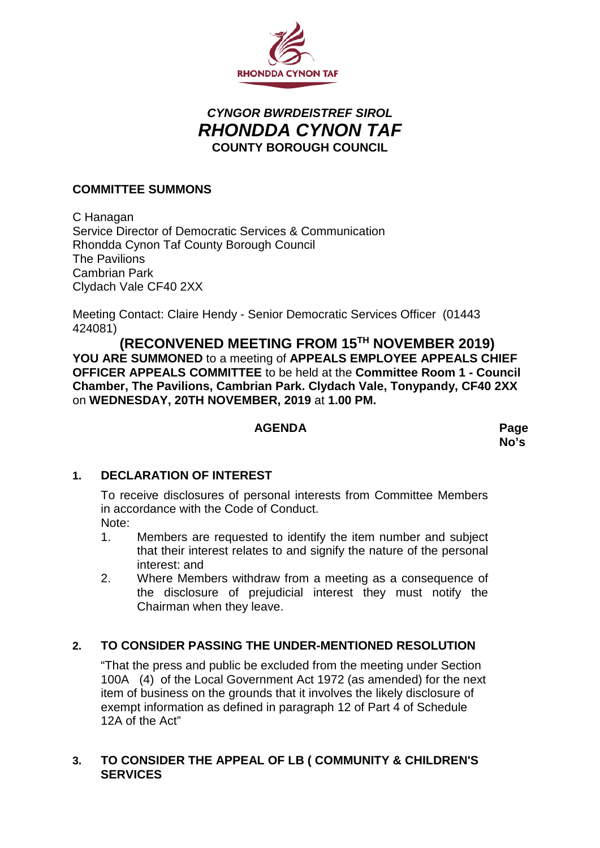

# *CYNGOR BWRDEISTREF SIROL RHONDDA CYNON TAF* **COUNTY BOROUGH COUNCIL**

## **COMMITTEE SUMMONS**

C Hanagan Service Director of Democratic Services & Communication Rhondda Cynon Taf County Borough Council The Pavilions Cambrian Park Clydach Vale CF40 2XX

Meeting Contact: Claire Hendy - Senior Democratic Services Officer (01443 424081)

 **(RECONVENED MEETING FROM 15TH NOVEMBER 2019) YOU ARE SUMMONED** to a meeting of **APPEALS EMPLOYEE APPEALS CHIEF OFFICER APPEALS COMMITTEE** to be held at the **Committee Room 1 - Council Chamber, The Pavilions, Cambrian Park. Clydach Vale, Tonypandy, CF40 2XX** on **WEDNESDAY, 20TH NOVEMBER, 2019** at **1.00 PM.**

#### **AGENDA Page**

**No's**

## **1. DECLARATION OF INTEREST**

To receive disclosures of personal interests from Committee Members in accordance with the Code of Conduct. Note:

- 1. Members are requested to identify the item number and subject that their interest relates to and signify the nature of the personal interest: and
- 2. Where Members withdraw from a meeting as a consequence of the disclosure of prejudicial interest they must notify the Chairman when they leave.

# **2. TO CONSIDER PASSING THE UNDER-MENTIONED RESOLUTION**

"That the press and public be excluded from the meeting under Section 100A (4) of the Local Government Act 1972 (as amended) for the next item of business on the grounds that it involves the likely disclosure of exempt information as defined in paragraph 12 of Part 4 of Schedule 12A of the Act"

## **3. TO CONSIDER THE APPEAL OF LB ( COMMUNITY & CHILDREN'S SERVICES**